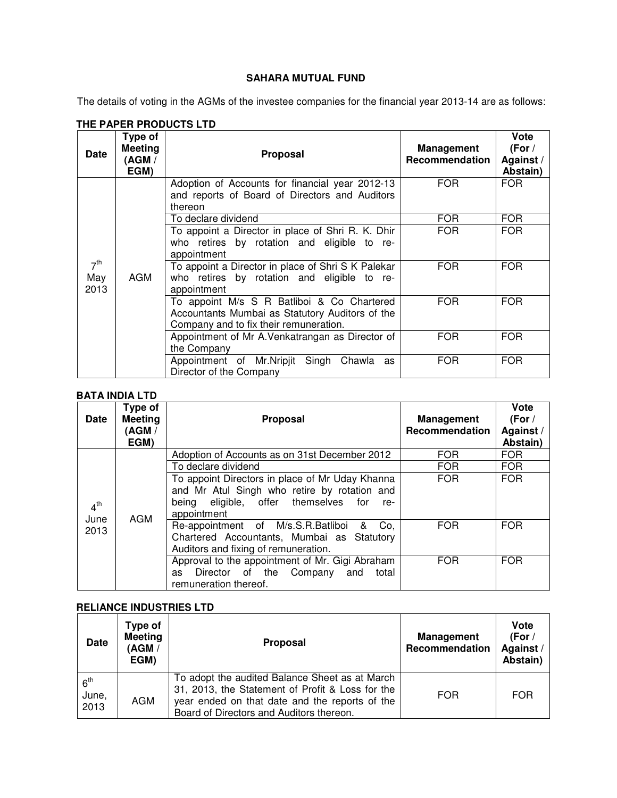### **SAHARA MUTUAL FUND**

The details of voting in the AGMs of the investee companies for the financial year 2013-14 are as follows:

| <b>Date</b>                    | Type of<br><b>Meeting</b><br>(AGM /<br>EGM) | <b>Proposal</b>                                                                                                                         | Management<br>Recommendation | Vote<br>(For /<br>Against/<br>Abstain) |
|--------------------------------|---------------------------------------------|-----------------------------------------------------------------------------------------------------------------------------------------|------------------------------|----------------------------------------|
|                                |                                             | Adoption of Accounts for financial year 2012-13<br>and reports of Board of Directors and Auditors<br>thereon                            | FOR.                         | FOR.                                   |
|                                |                                             | To declare dividend                                                                                                                     | <b>FOR</b>                   | <b>FOR</b>                             |
| 7 <sup>th</sup><br>May<br>2013 | AGM                                         | To appoint a Director in place of Shri R. K. Dhir<br>who retires by rotation and eligible to re-<br>appointment                         | <b>FOR</b>                   | <b>FOR</b>                             |
|                                |                                             | To appoint a Director in place of Shri S K Palekar<br>who retires by rotation and eligible to re-<br>appointment                        | FOR                          | <b>FOR</b>                             |
|                                |                                             | To appoint M/s S R Batliboi & Co Chartered<br>Accountants Mumbai as Statutory Auditors of the<br>Company and to fix their remuneration. | <b>FOR</b>                   | <b>FOR</b>                             |
|                                |                                             | Appointment of Mr A. Venkatrangan as Director of<br>the Company                                                                         | <b>FOR</b>                   | <b>FOR</b>                             |
|                                |                                             | Appointment of Mr. Nripjit Singh<br>Chawla<br>as<br>Director of the Company                                                             | <b>FOR</b>                   | <b>FOR</b>                             |

## **THE PAPER PRODUCTS LTD**

## **BATA INDIA LTD**

| <b>Date</b>                     | Type of<br><b>Meeting</b><br>(AGM /<br>EGM) | Proposal                                                                                                                                                         | Management<br>Recommendation | <b>Vote</b><br>(For /<br>Against/<br>Abstain) |
|---------------------------------|---------------------------------------------|------------------------------------------------------------------------------------------------------------------------------------------------------------------|------------------------------|-----------------------------------------------|
|                                 |                                             | Adoption of Accounts as on 31st December 2012                                                                                                                    | <b>FOR</b>                   | <b>FOR</b>                                    |
|                                 |                                             | To declare dividend                                                                                                                                              | <b>FOR</b>                   | <b>FOR</b>                                    |
| 4 <sup>th</sup><br>June<br>2013 | AGM                                         | To appoint Directors in place of Mr Uday Khanna<br>and Mr Atul Singh who retire by rotation and<br>being eligible, offer themselves<br>for<br>re-<br>appointment | <b>FOR</b>                   | <b>FOR</b>                                    |
|                                 |                                             | Re-appointment of M/s.S.R.Batliboi<br>&<br>Co.<br>Chartered Accountants, Mumbai as Statutory<br>Auditors and fixing of remuneration.                             | <b>FOR</b>                   | <b>FOR</b>                                    |
|                                 |                                             | Approval to the appointment of Mr. Gigi Abraham<br>Director of the<br>Company<br>and<br>total<br>as<br>remuneration thereof.                                     | <b>FOR</b>                   | FOR.                                          |

### **RELIANCE INDUSTRIES LTD**

| <b>Date</b>                      | Type of<br><b>Meeting</b><br>(AGM /<br>EGM) | <b>Proposal</b>                                                                                                                                                                                  | <b>Management</b><br>Recommendation | Vote<br>(For /<br>Against /<br>Abstain) |
|----------------------------------|---------------------------------------------|--------------------------------------------------------------------------------------------------------------------------------------------------------------------------------------------------|-------------------------------------|-----------------------------------------|
| 6 <sup>th</sup><br>June,<br>2013 | AGM                                         | To adopt the audited Balance Sheet as at March<br>31, 2013, the Statement of Profit & Loss for the<br>year ended on that date and the reports of the<br>Board of Directors and Auditors thereon. | <b>FOR</b>                          | <b>FOR</b>                              |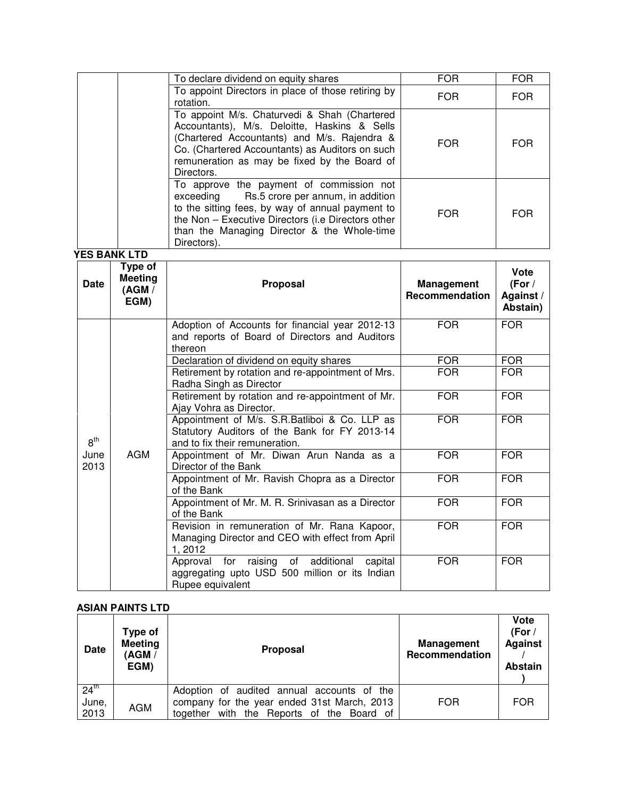| To declare dividend on equity shares                                                                                                                                                                                                                            | <b>FOR</b> | <b>FOR</b> |
|-----------------------------------------------------------------------------------------------------------------------------------------------------------------------------------------------------------------------------------------------------------------|------------|------------|
| To appoint Directors in place of those retiring by<br>rotation.                                                                                                                                                                                                 | <b>FOR</b> | <b>FOR</b> |
| To appoint M/s. Chaturvedi & Shah (Chartered<br>Accountants), M/s. Deloitte, Haskins & Sells<br>(Chartered Accountants) and M/s. Rajendra &<br>Co. (Chartered Accountants) as Auditors on such<br>remuneration as may be fixed by the Board of<br>Directors.    | <b>FOR</b> | <b>FOR</b> |
| To approve the payment of commission not<br>exceeding Rs.5 crore per annum, in addition<br>to the sitting fees, by way of annual payment to<br>the Non - Executive Directors (i.e Directors other<br>than the Managing Director & the Whole-time<br>Directors). | <b>FOR</b> | <b>FOR</b> |

**YES BANK LTD**

| <b>Date</b>     | Type of<br><b>Meeting</b><br>(AGM /<br>EGM) | Proposal                                                                                                                         | <b>Management</b><br>Recommendation | Vote<br>(For /<br>Against /<br>Abstain) |
|-----------------|---------------------------------------------|----------------------------------------------------------------------------------------------------------------------------------|-------------------------------------|-----------------------------------------|
|                 |                                             | Adoption of Accounts for financial year 2012-13<br>and reports of Board of Directors and Auditors<br>thereon                     | <b>FOR</b>                          | <b>FOR</b>                              |
|                 |                                             | Declaration of dividend on equity shares                                                                                         | <b>FOR</b>                          | <b>FOR</b>                              |
|                 | <b>AGM</b>                                  | Retirement by rotation and re-appointment of Mrs.<br>Radha Singh as Director                                                     | <b>FOR</b>                          | <b>FOR</b>                              |
| 8 <sup>th</sup> |                                             | Retirement by rotation and re-appointment of Mr.<br>Ajay Vohra as Director.                                                      | <b>FOR</b>                          | <b>FOR</b>                              |
|                 |                                             | Appointment of M/s. S.R.Batliboi & Co. LLP as<br>Statutory Auditors of the Bank for FY 2013-14<br>and to fix their remuneration. | <b>FOR</b>                          | <b>FOR</b>                              |
| June<br>2013    |                                             | Appointment of Mr. Diwan Arun Nanda as a<br>Director of the Bank                                                                 | <b>FOR</b>                          | <b>FOR</b>                              |
|                 |                                             | Appointment of Mr. Ravish Chopra as a Director<br>of the Bank                                                                    | <b>FOR</b>                          | <b>FOR</b>                              |
|                 |                                             | Appointment of Mr. M. R. Srinivasan as a Director<br>of the Bank                                                                 | <b>FOR</b>                          | <b>FOR</b>                              |
|                 |                                             | Revision in remuneration of Mr. Rana Kapoor,<br>Managing Director and CEO with effect from April<br>1, 2012                      | <b>FOR</b>                          | <b>FOR</b>                              |
|                 |                                             | Approval for raising of additional<br>capital<br>aggregating upto USD 500 million or its Indian<br>Rupee equivalent              | <b>FOR</b>                          | <b>FOR</b>                              |

## **ASIAN PAINTS LTD**

| <b>Date</b>               | Type of<br><b>Meeting</b><br>(AGM /<br>EGM) | <b>Proposal</b>                                                                           | <b>Management</b><br>Recommendation | <b>Vote</b><br>(For $/$<br><b>Against</b><br><b>Abstain</b> |
|---------------------------|---------------------------------------------|-------------------------------------------------------------------------------------------|-------------------------------------|-------------------------------------------------------------|
| $24^{\text{th}}$<br>June, |                                             | Adoption of audited annual accounts of the<br>company for the year ended 31st March, 2013 | <b>FOR</b>                          | <b>FOR</b>                                                  |
| 2013                      | <b>AGM</b>                                  | together with the Reports of the Board of                                                 |                                     |                                                             |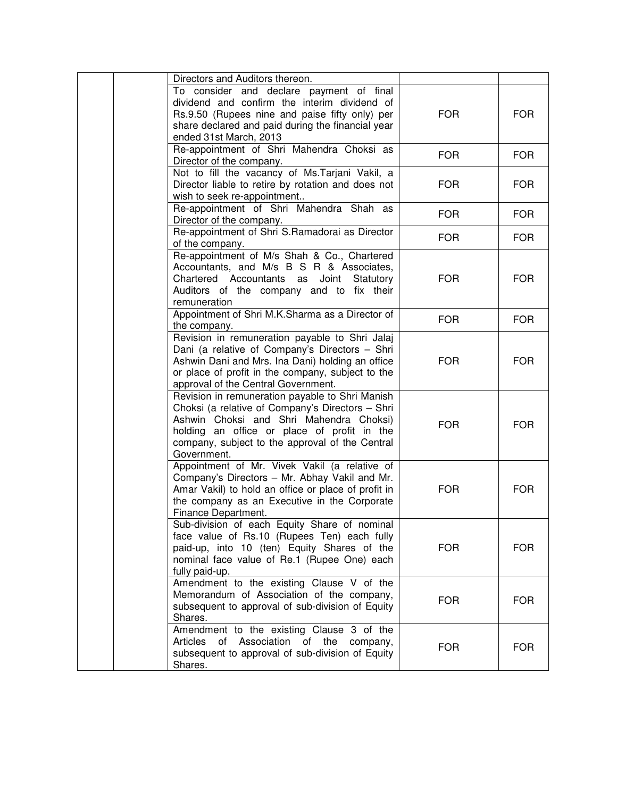| Directors and Auditors thereon.<br>To consider and declare payment of final<br>dividend and confirm the interim dividend of<br>Rs.9.50 (Rupees nine and paise fifty only) per                                                                                   | <b>FOR</b> | <b>FOR</b> |
|-----------------------------------------------------------------------------------------------------------------------------------------------------------------------------------------------------------------------------------------------------------------|------------|------------|
| share declared and paid during the financial year<br>ended 31st March, 2013<br>Re-appointment of Shri Mahendra Choksi as                                                                                                                                        |            |            |
| Director of the company.                                                                                                                                                                                                                                        | <b>FOR</b> | <b>FOR</b> |
| Not to fill the vacancy of Ms. Tarjani Vakil, a<br>Director liable to retire by rotation and does not<br>wish to seek re-appointment                                                                                                                            | <b>FOR</b> | <b>FOR</b> |
| Re-appointment of Shri Mahendra Shah as<br>Director of the company.                                                                                                                                                                                             | <b>FOR</b> | <b>FOR</b> |
| Re-appointment of Shri S.Ramadorai as Director<br>of the company.                                                                                                                                                                                               | <b>FOR</b> | <b>FOR</b> |
| Re-appointment of M/s Shah & Co., Chartered<br>Accountants, and M/s B S R & Associates,<br>Chartered Accountants as Joint<br>Statutory<br>Auditors of the company and to fix their<br>remuneration                                                              | <b>FOR</b> | <b>FOR</b> |
| Appointment of Shri M.K.Sharma as a Director of<br>the company.                                                                                                                                                                                                 | <b>FOR</b> | <b>FOR</b> |
| Revision in remuneration payable to Shri Jalaj<br>Dani (a relative of Company's Directors - Shri<br>Ashwin Dani and Mrs. Ina Dani) holding an office<br>or place of profit in the company, subject to the<br>approval of the Central Government.                | <b>FOR</b> | <b>FOR</b> |
| Revision in remuneration payable to Shri Manish<br>Choksi (a relative of Company's Directors - Shri<br>Ashwin Choksi and Shri Mahendra Choksi)<br>holding an office or place of profit in the<br>company, subject to the approval of the Central<br>Government. | <b>FOR</b> | <b>FOR</b> |
| Appointment of Mr. Vivek Vakil (a relative of<br>Company's Directors - Mr. Abhay Vakil and Mr.<br>Amar Vakil) to hold an office or place of profit in<br>the company as an Executive in the Corporate<br>Finance Department.                                    | <b>FOR</b> | <b>FOR</b> |
| Sub-division of each Equity Share of nominal<br>face value of Rs.10 (Rupees Ten) each fully<br>paid-up, into 10 (ten) Equity Shares of the<br>nominal face value of Re.1 (Rupee One) each<br>fully paid-up.                                                     | <b>FOR</b> | <b>FOR</b> |
| Amendment to the existing Clause V of the<br>Memorandum of Association of the company,<br>subsequent to approval of sub-division of Equity<br>Shares.                                                                                                           | <b>FOR</b> | <b>FOR</b> |
| Amendment to the existing Clause 3 of the<br>of Association of the<br>Articles<br>company,<br>subsequent to approval of sub-division of Equity<br>Shares.                                                                                                       | <b>FOR</b> | <b>FOR</b> |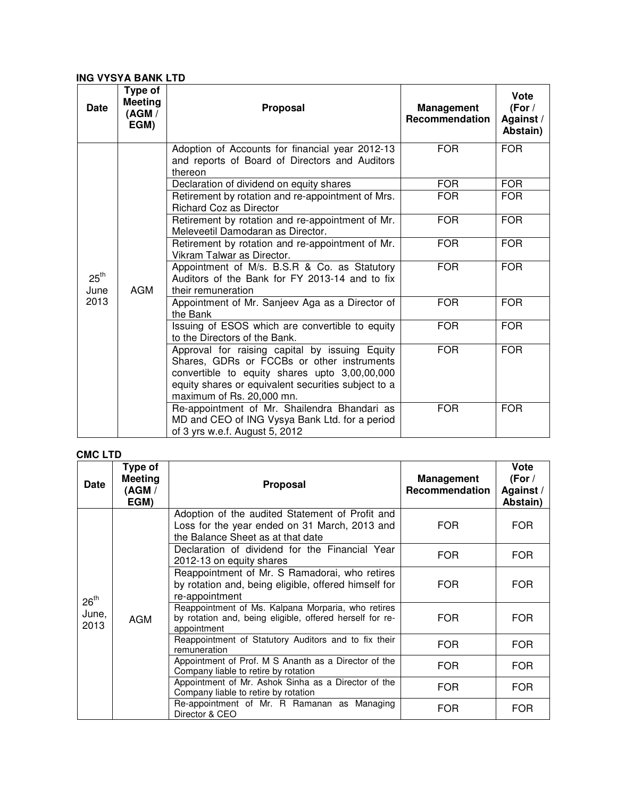### **ING VYSYA BANK LTD**

| <b>Date</b>              | Type of<br><b>Meeting</b><br>(AGM /<br>EGM) | Proposal                                                                                                                                                                                                                          | <b>Management</b><br>Recommendation | Vote<br>(For /<br>Against /<br>Abstain) |
|--------------------------|---------------------------------------------|-----------------------------------------------------------------------------------------------------------------------------------------------------------------------------------------------------------------------------------|-------------------------------------|-----------------------------------------|
|                          |                                             | Adoption of Accounts for financial year 2012-13<br>and reports of Board of Directors and Auditors<br>thereon                                                                                                                      | <b>FOR</b>                          | <b>FOR</b>                              |
|                          |                                             | Declaration of dividend on equity shares                                                                                                                                                                                          | <b>FOR</b>                          | <b>FOR</b>                              |
|                          | <b>AGM</b>                                  | Retirement by rotation and re-appointment of Mrs.<br><b>Richard Coz as Director</b>                                                                                                                                               | <b>FOR</b>                          | <b>FOR</b>                              |
|                          |                                             | Retirement by rotation and re-appointment of Mr.<br>Meleveetil Damodaran as Director.                                                                                                                                             | <b>FOR</b>                          | <b>FOR</b>                              |
|                          |                                             | Retirement by rotation and re-appointment of Mr.<br>Vikram Talwar as Director.                                                                                                                                                    | <b>FOR</b>                          | <b>FOR</b>                              |
| $25^{\text{th}}$<br>June |                                             | Appointment of M/s. B.S.R & Co. as Statutory<br>Auditors of the Bank for FY 2013-14 and to fix<br>their remuneration                                                                                                              | <b>FOR</b>                          | <b>FOR</b>                              |
| 2013                     |                                             | Appointment of Mr. Sanjeev Aga as a Director of<br>the Bank                                                                                                                                                                       | <b>FOR</b>                          | <b>FOR</b>                              |
|                          |                                             | Issuing of ESOS which are convertible to equity<br>to the Directors of the Bank.                                                                                                                                                  | <b>FOR</b>                          | <b>FOR</b>                              |
|                          |                                             | Approval for raising capital by issuing Equity<br>Shares, GDRs or FCCBs or other instruments<br>convertible to equity shares upto 3,00,00,000<br>equity shares or equivalent securities subject to a<br>maximum of Rs. 20,000 mn. | <b>FOR</b>                          | <b>FOR</b>                              |
|                          |                                             | Re-appointment of Mr. Shailendra Bhandari as<br>MD and CEO of ING Vysya Bank Ltd. for a period<br>of 3 yrs w.e.f. August 5, 2012                                                                                                  | <b>FOR</b>                          | <b>FOR</b>                              |

# **CMC LTD**

| <b>Date</b>      | Type of<br><b>Meeting</b><br>(AGM /<br>EGM) | <b>Proposal</b>                                                                                                                       | Management<br>Recommendation | Vote<br>(For $/$<br>Against /<br>Abstain) |
|------------------|---------------------------------------------|---------------------------------------------------------------------------------------------------------------------------------------|------------------------------|-------------------------------------------|
|                  |                                             | Adoption of the audited Statement of Profit and<br>Loss for the year ended on 31 March, 2013 and<br>the Balance Sheet as at that date | FOR.                         | <b>FOR</b>                                |
|                  | AGM                                         | Declaration of dividend for the Financial Year<br>2012-13 on equity shares                                                            | <b>FOR</b>                   | <b>FOR</b>                                |
| $26^{\text{th}}$ |                                             | Reappointment of Mr. S Ramadorai, who retires<br>by rotation and, being eligible, offered himself for<br>re-appointment               | FOR.                         | <b>FOR</b>                                |
| June,<br>2013    |                                             | Reappointment of Ms. Kalpana Morparia, who retires<br>by rotation and, being eligible, offered herself for re-<br>appointment         | <b>FOR</b>                   | <b>FOR</b>                                |
|                  |                                             | Reappointment of Statutory Auditors and to fix their<br>remuneration                                                                  | FOR.                         | FOR.                                      |
|                  |                                             | Appointment of Prof. M S Ananth as a Director of the<br>Company liable to retire by rotation                                          | FOR.                         | <b>FOR</b>                                |
|                  |                                             | Appointment of Mr. Ashok Sinha as a Director of the<br>Company liable to retire by rotation                                           | <b>FOR</b>                   | <b>FOR</b>                                |
|                  |                                             | Re-appointment of Mr. R Ramanan as Managing<br>Director & CEO                                                                         | <b>FOR</b>                   | <b>FOR</b>                                |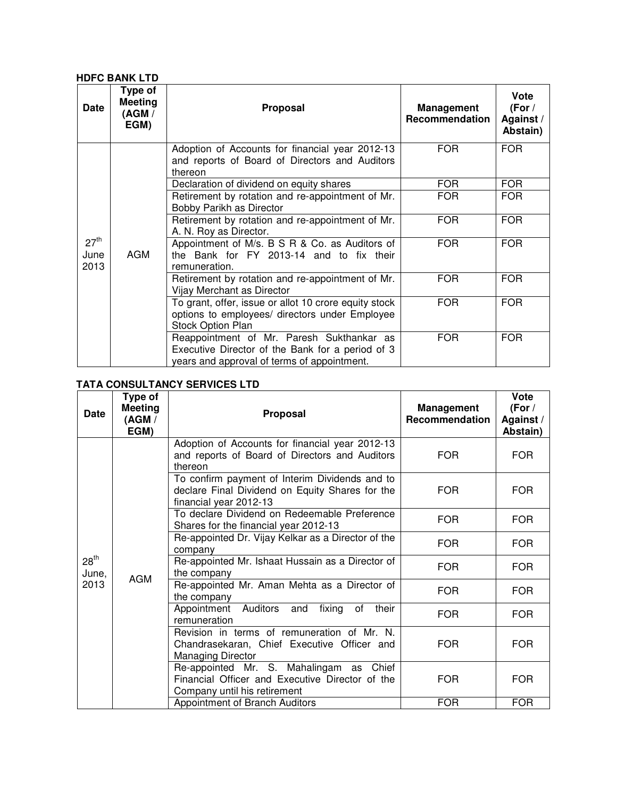### **HDFC BANK LTD**

| <b>Date</b>                      | Type of<br>Meeting<br>(AGM /<br>EGM) | <b>Proposal</b>                                                                                                                              | <b>Management</b><br>Recommendation | Vote<br>(For $/$<br>Against /<br>Abstain) |
|----------------------------------|--------------------------------------|----------------------------------------------------------------------------------------------------------------------------------------------|-------------------------------------|-------------------------------------------|
|                                  |                                      | Adoption of Accounts for financial year 2012-13<br>and reports of Board of Directors and Auditors<br>thereon                                 | <b>FOR</b>                          | <b>FOR</b>                                |
|                                  |                                      | Declaration of dividend on equity shares                                                                                                     | <b>FOR</b>                          | <b>FOR</b>                                |
|                                  | <b>AGM</b>                           | Retirement by rotation and re-appointment of Mr.<br>Bobby Parikh as Director                                                                 | <b>FOR</b>                          | <b>FOR</b>                                |
|                                  |                                      | Retirement by rotation and re-appointment of Mr.<br>A. N. Roy as Director.                                                                   | <b>FOR</b>                          | <b>FOR</b>                                |
| 27 <sup>th</sup><br>June<br>2013 |                                      | Appointment of M/s. B S R & Co. as Auditors of<br>the Bank for FY 2013-14 and to fix their<br>remuneration.                                  | <b>FOR</b>                          | <b>FOR</b>                                |
|                                  |                                      | Retirement by rotation and re-appointment of Mr.<br>Vijay Merchant as Director                                                               | <b>FOR</b>                          | <b>FOR</b>                                |
|                                  |                                      | To grant, offer, issue or allot 10 crore equity stock<br>options to employees/ directors under Employee<br>Stock Option Plan                 | <b>FOR</b>                          | <b>FOR</b>                                |
|                                  |                                      | Reappointment of Mr. Paresh Sukthankar as<br>Executive Director of the Bank for a period of 3<br>years and approval of terms of appointment. | <b>FOR</b>                          | <b>FOR</b>                                |

## **TATA CONSULTANCY SERVICES LTD**

| <b>Date</b>        | Type of<br><b>Meeting</b><br>(AGM /<br>EGM) | Proposal                                                                                                                    | Management<br>Recommendation | Vote<br>(For $/$<br>Against /<br>Abstain) |
|--------------------|---------------------------------------------|-----------------------------------------------------------------------------------------------------------------------------|------------------------------|-------------------------------------------|
|                    |                                             | Adoption of Accounts for financial year 2012-13<br>and reports of Board of Directors and Auditors<br>thereon                | <b>FOR</b>                   | <b>FOR</b>                                |
|                    | <b>AGM</b>                                  | To confirm payment of Interim Dividends and to<br>declare Final Dividend on Equity Shares for the<br>financial year 2012-13 | <b>FOR</b>                   | <b>FOR</b>                                |
|                    |                                             | To declare Dividend on Redeemable Preference<br>Shares for the financial year 2012-13                                       | <b>FOR</b>                   | <b>FOR</b>                                |
|                    |                                             | Re-appointed Dr. Vijay Kelkar as a Director of the<br>company                                                               | <b>FOR</b>                   | <b>FOR</b>                                |
| $28^{th}$<br>June, |                                             | Re-appointed Mr. Ishaat Hussain as a Director of<br>the company                                                             | <b>FOR</b>                   | <b>FOR</b>                                |
| 2013               |                                             | Re-appointed Mr. Aman Mehta as a Director of<br>the company                                                                 | <b>FOR</b>                   | FOR.                                      |
|                    |                                             | Appointment Auditors and<br>fixing of<br>their<br>remuneration                                                              | <b>FOR</b>                   | <b>FOR</b>                                |
|                    |                                             | Revision in terms of remuneration of Mr. N.<br>Chandrasekaran, Chief Executive Officer and<br><b>Managing Director</b>      | <b>FOR</b>                   | <b>FOR</b>                                |
|                    |                                             | Re-appointed Mr. S. Mahalingam as Chief<br>Financial Officer and Executive Director of the<br>Company until his retirement  | <b>FOR</b>                   | <b>FOR</b>                                |
|                    |                                             | Appointment of Branch Auditors                                                                                              | <b>FOR</b>                   | <b>FOR</b>                                |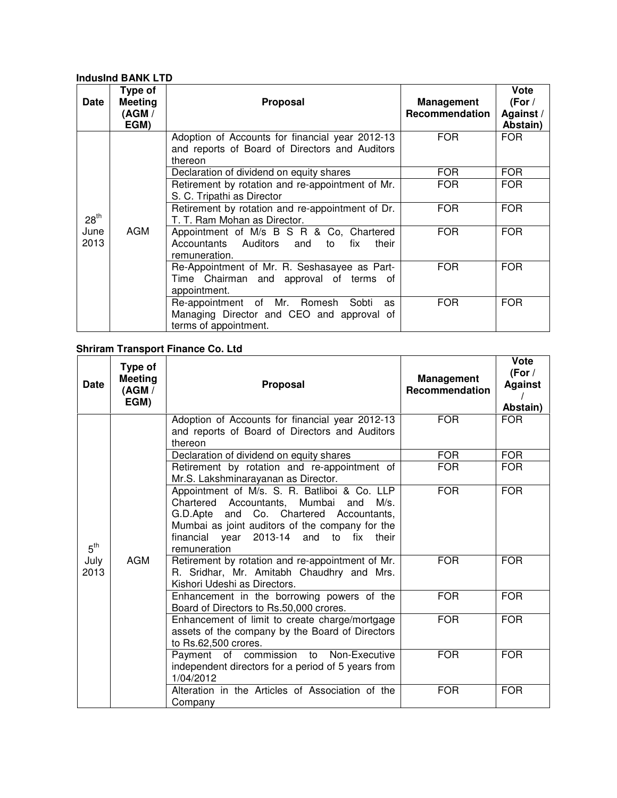### **IndusInd BANK LTD**

| Date             | Type of<br><b>Meeting</b><br>(AGM /<br>EGM) | <b>Proposal</b>                                                                                                   | <b>Management</b><br>Recommendation | <b>Vote</b><br>(For $/$<br>Against /<br>Abstain) |
|------------------|---------------------------------------------|-------------------------------------------------------------------------------------------------------------------|-------------------------------------|--------------------------------------------------|
|                  |                                             | Adoption of Accounts for financial year 2012-13<br>and reports of Board of Directors and Auditors<br>thereon      | <b>FOR</b>                          | FOR.                                             |
|                  |                                             | Declaration of dividend on equity shares                                                                          | <b>FOR</b>                          | <b>FOR</b>                                       |
|                  |                                             | Retirement by rotation and re-appointment of Mr.<br>S. C. Tripathi as Director                                    | FOR.                                | <b>FOR</b>                                       |
| 28 <sup>th</sup> |                                             | Retirement by rotation and re-appointment of Dr.<br>T. T. Ram Mohan as Director.                                  | <b>FOR</b>                          | <b>FOR</b>                                       |
| June<br>2013     | AGM                                         | Appointment of M/s B S R & Co, Chartered<br>Accountants Auditors<br>and<br>fix<br>their<br>to<br>remuneration.    | <b>FOR</b>                          | <b>FOR</b>                                       |
|                  |                                             | Re-Appointment of Mr. R. Seshasayee as Part-<br>Time Chairman and approval of terms of<br>appointment.            | <b>FOR</b>                          | <b>FOR</b>                                       |
|                  |                                             | Re-appointment of Mr. Romesh<br>Sobti<br>as<br>Managing Director and CEO and approval of<br>terms of appointment. | <b>FOR</b>                          | <b>FOR</b>                                       |

### **Shriram Transport Finance Co. Ltd**

| <b>Date</b>     | Type of<br><b>Meeting</b><br>(AGM /<br>EGM) | Proposal                                                                                                                                                                                                                                              | <b>Management</b><br>Recommendation | Vote<br>(For $/$<br><b>Against</b><br>Abstain) |
|-----------------|---------------------------------------------|-------------------------------------------------------------------------------------------------------------------------------------------------------------------------------------------------------------------------------------------------------|-------------------------------------|------------------------------------------------|
|                 |                                             | Adoption of Accounts for financial year 2012-13<br>and reports of Board of Directors and Auditors<br>thereon                                                                                                                                          | <b>FOR</b>                          | <b>FOR</b>                                     |
|                 |                                             | Declaration of dividend on equity shares                                                                                                                                                                                                              | <b>FOR</b>                          | <b>FOR</b>                                     |
|                 |                                             | Retirement by rotation and re-appointment of<br>Mr.S. Lakshminarayanan as Director.                                                                                                                                                                   | <b>FOR</b>                          | <b>FOR</b>                                     |
| $5^{\text{th}}$ | <b>AGM</b>                                  | Appointment of M/s. S. R. Batliboi & Co. LLP<br>Chartered Accountants, Mumbai<br>and<br>M/s.<br>G.D.Apte and Co. Chartered Accountants,<br>Mumbai as joint auditors of the company for the<br>financial year 2013-14 and to fix their<br>remuneration | <b>FOR</b>                          | <b>FOR</b>                                     |
| July<br>2013    |                                             | Retirement by rotation and re-appointment of Mr.<br>R. Sridhar, Mr. Amitabh Chaudhry and Mrs.<br>Kishori Udeshi as Directors.                                                                                                                         | <b>FOR</b>                          | <b>FOR</b>                                     |
|                 |                                             | Enhancement in the borrowing powers of the<br>Board of Directors to Rs.50,000 crores.                                                                                                                                                                 | <b>FOR</b>                          | <b>FOR</b>                                     |
|                 |                                             | Enhancement of limit to create charge/mortgage<br>assets of the company by the Board of Directors<br>to Rs.62,500 crores.                                                                                                                             | <b>FOR</b>                          | <b>FOR</b>                                     |
|                 |                                             | Payment of commission to Non-Executive<br>independent directors for a period of 5 years from<br>1/04/2012                                                                                                                                             | <b>FOR</b>                          | <b>FOR</b>                                     |
|                 |                                             | Alteration in the Articles of Association of the<br>Company                                                                                                                                                                                           | <b>FOR</b>                          | <b>FOR</b>                                     |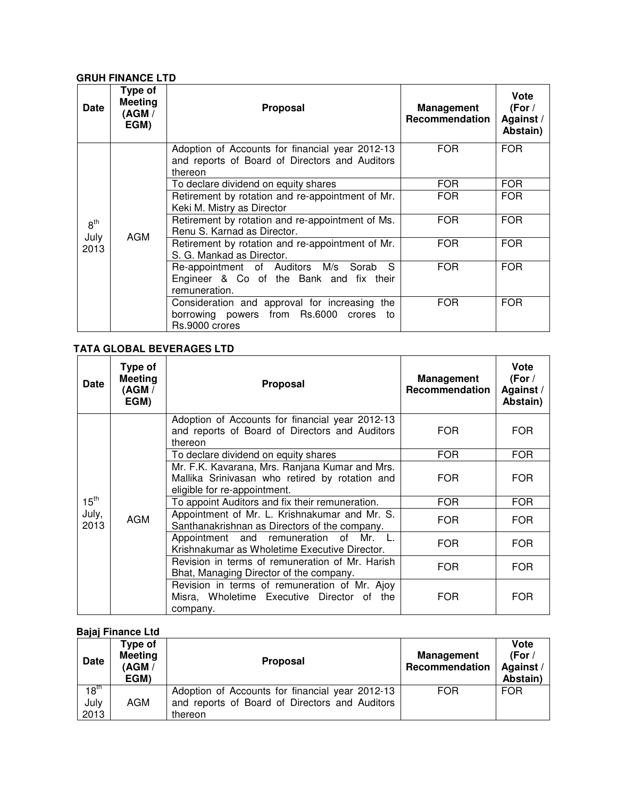### **GRUH FINANCE LTD**

| <b>Date</b>             | Type of<br><b>Meeting</b><br>(AGM /<br>EGM) | <b>Proposal</b>                                                                                                  | Management<br>Recommendation | Vote<br>(For /<br>Against/<br>Abstain) |
|-------------------------|---------------------------------------------|------------------------------------------------------------------------------------------------------------------|------------------------------|----------------------------------------|
|                         | AGM                                         | Adoption of Accounts for financial year 2012-13<br>and reports of Board of Directors and Auditors<br>thereon     | <b>FOR</b>                   | <b>FOR</b>                             |
|                         |                                             | To declare dividend on equity shares                                                                             | <b>FOR</b>                   | <b>FOR</b>                             |
|                         |                                             | Retirement by rotation and re-appointment of Mr.<br>Keki M. Mistry as Director                                   | <b>FOR</b>                   | <b>FOR</b>                             |
| $8^{\text{th}}$<br>July |                                             | Retirement by rotation and re-appointment of Ms.<br>Renu S. Karnad as Director.                                  | <b>FOR</b>                   | <b>FOR</b>                             |
| 2013                    |                                             | Retirement by rotation and re-appointment of Mr.<br>S. G. Mankad as Director.                                    | <b>FOR</b>                   | <b>FOR</b>                             |
|                         |                                             | Re-appointment of Auditors M/s Sorab S<br>Engineer & Co of the Bank and fix their<br>remuneration.               | <b>FOR</b>                   | FOR.                                   |
|                         |                                             | Consideration and approval for increasing the<br>borrowing powers from Rs.6000<br>crores<br>to<br>Rs.9000 crores | <b>FOR</b>                   | <b>FOR</b>                             |

### **TATA GLOBAL BEVERAGES LTD**

| Date          | Type of<br><b>Meeting</b><br>(AGM /<br>EGM) | <b>Proposal</b>                                                                                                                  | <b>Management</b><br>Recommendation | <b>Vote</b><br>(For $/$<br>Against/<br>Abstain) |
|---------------|---------------------------------------------|----------------------------------------------------------------------------------------------------------------------------------|-------------------------------------|-------------------------------------------------|
|               | AGM                                         | Adoption of Accounts for financial year 2012-13<br>and reports of Board of Directors and Auditors<br>thereon                     | <b>FOR</b>                          | <b>FOR</b>                                      |
|               |                                             | To declare dividend on equity shares                                                                                             | <b>FOR</b>                          | <b>FOR</b>                                      |
|               |                                             | Mr. F.K. Kavarana, Mrs. Ranjana Kumar and Mrs.<br>Mallika Srinivasan who retired by rotation and<br>eligible for re-appointment. | <b>FOR</b>                          | <b>FOR</b>                                      |
| $15^{th}$     |                                             | To appoint Auditors and fix their remuneration.                                                                                  | <b>FOR</b>                          | <b>FOR</b>                                      |
| July,<br>2013 |                                             | Appointment of Mr. L. Krishnakumar and Mr. S.<br>Santhanakrishnan as Directors of the company.                                   | <b>FOR</b>                          | <b>FOR</b>                                      |
|               |                                             | Appointment and remuneration of<br>Mr.<br>Krishnakumar as Wholetime Executive Director.                                          | <b>FOR</b>                          | <b>FOR</b>                                      |
|               |                                             | Revision in terms of remuneration of Mr. Harish<br>Bhat, Managing Director of the company.                                       | <b>FOR</b>                          | <b>FOR</b>                                      |
|               |                                             | Revision in terms of remuneration of Mr. Ajoy<br>Misra, Wholetime Executive Director of the<br>company.                          | <b>FOR</b>                          | <b>FOR</b>                                      |

## **Bajaj Finance Ltd**

| <b>Date</b>                      | Type of<br><b>Meeting</b><br>(AGM /<br>EGM) | Proposal                                                                                                     | Management<br>Recommendation | Vote<br>(For /<br>Against/<br>Abstain) |
|----------------------------------|---------------------------------------------|--------------------------------------------------------------------------------------------------------------|------------------------------|----------------------------------------|
| 18 <sup>th</sup><br>July<br>2013 | AGM                                         | Adoption of Accounts for financial year 2012-13<br>and reports of Board of Directors and Auditors<br>thereon | <b>FOR</b>                   | <b>FOR</b>                             |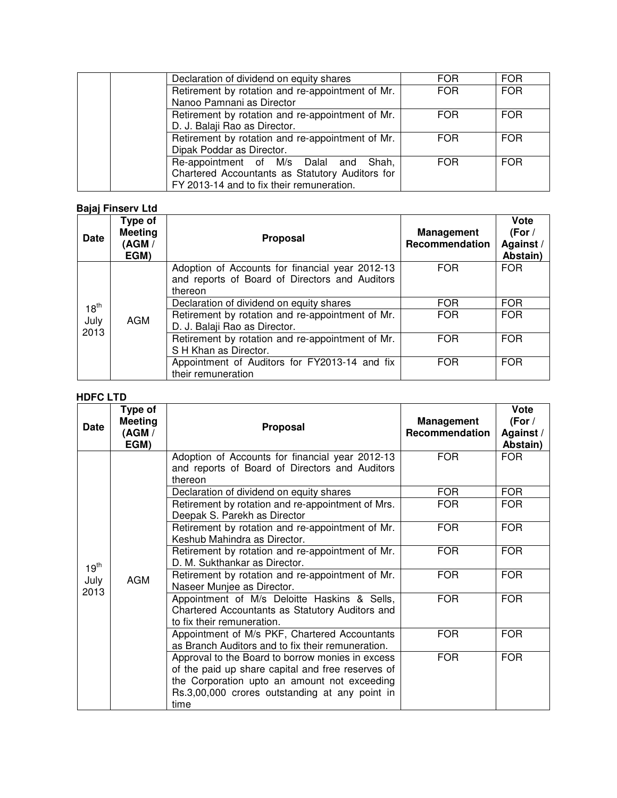| Declaration of dividend on equity shares         | FOR.       | <b>FOR</b> |
|--------------------------------------------------|------------|------------|
| Retirement by rotation and re-appointment of Mr. | <b>FOR</b> | <b>FOR</b> |
| Nanoo Pamnani as Director                        |            |            |
| Retirement by rotation and re-appointment of Mr. | <b>FOR</b> | <b>FOR</b> |
| D. J. Balaji Rao as Director.                    |            |            |
| Retirement by rotation and re-appointment of Mr. | <b>FOR</b> | <b>FOR</b> |
| Dipak Poddar as Director.                        |            |            |
| Re-appointment of M/s Dalal and Shah,            | <b>FOR</b> | <b>FOR</b> |
| Chartered Accountants as Statutory Auditors for  |            |            |
| FY 2013-14 and to fix their remuneration.        |            |            |

### **Bajaj Finserv Ltd**

| <b>Date</b>      | Type of<br><b>Meeting</b><br>(AGM /<br>EGM) | <b>Proposal</b>                                                                                              | <b>Management</b><br>Recommendation | Vote<br>(For /<br>Against /<br>Abstain) |
|------------------|---------------------------------------------|--------------------------------------------------------------------------------------------------------------|-------------------------------------|-----------------------------------------|
|                  | AGM                                         | Adoption of Accounts for financial year 2012-13<br>and reports of Board of Directors and Auditors<br>thereon | <b>FOR</b>                          | FOR.                                    |
| $18^{\text{th}}$ |                                             | Declaration of dividend on equity shares                                                                     | <b>FOR</b>                          | <b>FOR</b>                              |
| July<br>2013     |                                             | Retirement by rotation and re-appointment of Mr.<br>D. J. Balaji Rao as Director.                            | <b>FOR</b>                          | <b>FOR</b>                              |
|                  |                                             | Retirement by rotation and re-appointment of Mr.<br>S H Khan as Director.                                    | <b>FOR</b>                          | <b>FOR</b>                              |
|                  |                                             | Appointment of Auditors for FY2013-14 and fix<br>their remuneration                                          | <b>FOR</b>                          | <b>FOR</b>                              |

### **HDFC LTD**

| Date         | Type of<br><b>Meeting</b><br>(AGM /<br>EGM)                                                                                              | Proposal                                                                                                                                                                                                | <b>Management</b><br>Recommendation | Vote<br>(For /<br>Against/<br>Abstain) |
|--------------|------------------------------------------------------------------------------------------------------------------------------------------|---------------------------------------------------------------------------------------------------------------------------------------------------------------------------------------------------------|-------------------------------------|----------------------------------------|
|              |                                                                                                                                          | Adoption of Accounts for financial year 2012-13<br>and reports of Board of Directors and Auditors<br>thereon                                                                                            | <b>FOR</b>                          | <b>FOR</b>                             |
|              |                                                                                                                                          | Declaration of dividend on equity shares                                                                                                                                                                | <b>FOR</b>                          | <b>FOR</b>                             |
|              |                                                                                                                                          | Retirement by rotation and re-appointment of Mrs.<br>Deepak S. Parekh as Director                                                                                                                       | <b>FOR</b>                          | <b>FOR</b>                             |
|              | Keshub Mahindra as Director.<br>D. M. Sukthankar as Director.<br>AGM<br>Naseer Munjee as Director.<br>to fix their remuneration.<br>time | Retirement by rotation and re-appointment of Mr.                                                                                                                                                        | <b>FOR</b>                          | <b>FOR</b>                             |
| $19^{th}$    |                                                                                                                                          | Retirement by rotation and re-appointment of Mr.                                                                                                                                                        | <b>FOR</b>                          | <b>FOR</b>                             |
| July<br>2013 |                                                                                                                                          | Retirement by rotation and re-appointment of Mr.                                                                                                                                                        | <b>FOR</b>                          | <b>FOR</b>                             |
|              |                                                                                                                                          | Appointment of M/s Deloitte Haskins & Sells,<br>Chartered Accountants as Statutory Auditors and                                                                                                         | <b>FOR</b>                          | <b>FOR</b>                             |
|              |                                                                                                                                          | Appointment of M/s PKF, Chartered Accountants<br>as Branch Auditors and to fix their remuneration.                                                                                                      | <b>FOR</b>                          | <b>FOR</b>                             |
|              |                                                                                                                                          | Approval to the Board to borrow monies in excess<br>of the paid up share capital and free reserves of<br>the Corporation upto an amount not exceeding<br>Rs.3,00,000 crores outstanding at any point in | <b>FOR</b>                          | <b>FOR</b>                             |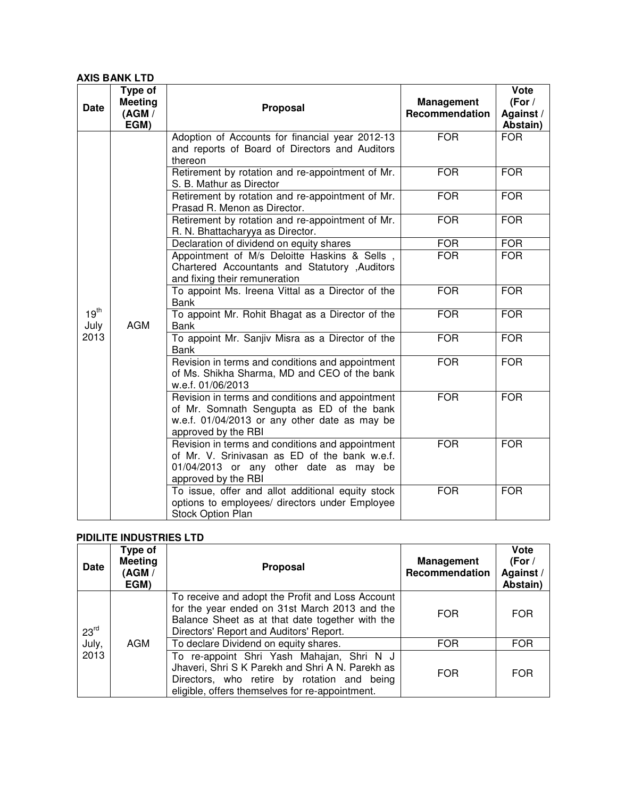### **AXIS BANK LTD**

| <b>Date</b>              | Type of<br><b>Meeting</b><br>(AGM /<br>EGM) | <b>Proposal</b>                                                                                                                                                       | <b>Management</b><br>Recommendation | Vote<br>(For /<br>Against /<br>Abstain) |
|--------------------------|---------------------------------------------|-----------------------------------------------------------------------------------------------------------------------------------------------------------------------|-------------------------------------|-----------------------------------------|
|                          |                                             | Adoption of Accounts for financial year 2012-13<br>and reports of Board of Directors and Auditors<br>thereon                                                          | <b>FOR</b>                          | <b>FOR</b>                              |
|                          |                                             | Retirement by rotation and re-appointment of Mr.<br>S. B. Mathur as Director                                                                                          | <b>FOR</b>                          | <b>FOR</b>                              |
|                          |                                             | Retirement by rotation and re-appointment of Mr.<br>Prasad R. Menon as Director.                                                                                      | <b>FOR</b>                          | <b>FOR</b>                              |
|                          |                                             | Retirement by rotation and re-appointment of Mr.<br>R. N. Bhattacharyya as Director.                                                                                  | <b>FOR</b>                          | <b>FOR</b>                              |
|                          |                                             | Declaration of dividend on equity shares                                                                                                                              | <b>FOR</b>                          | <b>FOR</b>                              |
|                          | <b>AGM</b>                                  | Appointment of M/s Deloitte Haskins & Sells,<br>Chartered Accountants and Statutory , Auditors<br>and fixing their remuneration                                       | <b>FOR</b>                          | <b>FOR</b>                              |
|                          |                                             | To appoint Ms. Ireena Vittal as a Director of the<br><b>Bank</b>                                                                                                      | <b>FOR</b>                          | <b>FOR</b>                              |
| 19 <sup>th</sup><br>July |                                             | To appoint Mr. Rohit Bhagat as a Director of the<br><b>Bank</b>                                                                                                       | <b>FOR</b>                          | <b>FOR</b>                              |
| 2013                     |                                             | To appoint Mr. Sanjiv Misra as a Director of the<br><b>Bank</b>                                                                                                       | <b>FOR</b>                          | <b>FOR</b>                              |
|                          |                                             | Revision in terms and conditions and appointment<br>of Ms. Shikha Sharma, MD and CEO of the bank<br>w.e.f. 01/06/2013                                                 | <b>FOR</b>                          | <b>FOR</b>                              |
|                          |                                             | Revision in terms and conditions and appointment<br>of Mr. Somnath Sengupta as ED of the bank<br>w.e.f. 01/04/2013 or any other date as may be<br>approved by the RBI | <b>FOR</b>                          | <b>FOR</b>                              |
|                          |                                             | Revision in terms and conditions and appointment<br>of Mr. V. Srinivasan as ED of the bank w.e.f.<br>01/04/2013 or any other date as may be<br>approved by the RBI    | <b>FOR</b>                          | <b>FOR</b>                              |
|                          |                                             | To issue, offer and allot additional equity stock<br>options to employees/ directors under Employee<br>Stock Option Plan                                              | <b>FOR</b>                          | <b>FOR</b>                              |

# **PIDILITE INDUSTRIES LTD**

| Date             | Type of<br><b>Meeting</b><br>(AGM /<br>EGM) | <b>Proposal</b>                                                                                                                                                                                 | <b>Management</b><br>Recommendation | <b>Vote</b><br>(For $/$<br>Against/<br>Abstain) |
|------------------|---------------------------------------------|-------------------------------------------------------------------------------------------------------------------------------------------------------------------------------------------------|-------------------------------------|-------------------------------------------------|
| 23 <sup>rd</sup> | AGM                                         | To receive and adopt the Profit and Loss Account<br>for the year ended on 31st March 2013 and the<br>Balance Sheet as at that date together with the<br>Directors' Report and Auditors' Report. | <b>FOR</b>                          | <b>FOR</b>                                      |
| July,            |                                             | To declare Dividend on equity shares.                                                                                                                                                           | <b>FOR</b>                          | <b>FOR</b>                                      |
| 2013             |                                             | To re-appoint Shri Yash Mahajan, Shri N J<br>Jhaveri, Shri S K Parekh and Shri A N. Parekh as<br>Directors, who retire by rotation and being<br>eligible, offers themselves for re-appointment. | <b>FOR</b>                          | <b>FOR</b>                                      |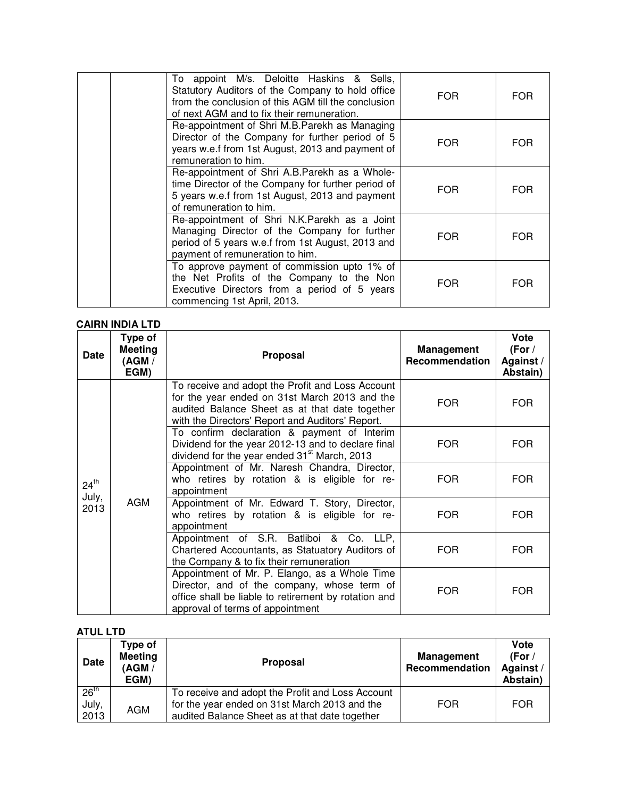|                             | To appoint M/s. Deloitte Haskins & Sells,<br>Statutory Auditors of the Company to hold office<br>from the conclusion of this AGM till the conclusion<br>of next AGM and to fix their remuneration. | <b>FOR</b> | <b>FOR</b> |
|-----------------------------|----------------------------------------------------------------------------------------------------------------------------------------------------------------------------------------------------|------------|------------|
| remuneration to him.        | Re-appointment of Shri M.B.Parekh as Managing<br>Director of the Company for further period of 5<br>years w.e.f from 1st August, 2013 and payment of                                               | <b>FOR</b> | <b>FOR</b> |
| of remuneration to him.     | Re-appointment of Shri A.B.Parekh as a Whole-<br>time Director of the Company for further period of<br>5 years w.e.f from 1st August, 2013 and payment                                             | <b>FOR</b> | <b>FOR</b> |
|                             | Re-appointment of Shri N.K.Parekh as a Joint<br>Managing Director of the Company for further<br>period of 5 years w.e.f from 1st August, 2013 and<br>payment of remuneration to him.               | <b>FOR</b> | <b>FOR</b> |
| commencing 1st April, 2013. | To approve payment of commission upto 1% of<br>the Net Profits of the Company to the Non<br>Executive Directors from a period of 5 years                                                           | <b>FOR</b> | <b>FOR</b> |

# **CAIRN INDIA LTD**

| <b>Date</b>      | Type of<br><b>Meeting</b><br>(AGM /<br>EGM) | Proposal                                                                                                                                                                                                | <b>Management</b><br>Recommendation | Vote<br>(For /<br>Against/<br>Abstain) |
|------------------|---------------------------------------------|---------------------------------------------------------------------------------------------------------------------------------------------------------------------------------------------------------|-------------------------------------|----------------------------------------|
|                  |                                             | To receive and adopt the Profit and Loss Account<br>for the year ended on 31st March 2013 and the<br>audited Balance Sheet as at that date together<br>with the Directors' Report and Auditors' Report. | <b>FOR</b>                          | <b>FOR</b>                             |
|                  | <b>AGM</b>                                  | To confirm declaration & payment of Interim<br>Dividend for the year 2012-13 and to declare final<br>dividend for the year ended 31 <sup>st</sup> March, 2013                                           | <b>FOR</b>                          | FOR                                    |
| $24^{\text{th}}$ |                                             | Appointment of Mr. Naresh Chandra, Director,<br>who retires by rotation & is eligible for re-<br>appointment                                                                                            | <b>FOR</b>                          | <b>FOR</b>                             |
| July,<br>2013    |                                             | Appointment of Mr. Edward T. Story, Director,<br>who retires by rotation & is eligible for re-<br>appointment                                                                                           | <b>FOR</b>                          | <b>FOR</b>                             |
|                  |                                             | Appointment of S.R. Batliboi & Co. LLP,<br>Chartered Accountants, as Statuatory Auditors of<br>the Company & to fix their remuneration                                                                  | <b>FOR</b>                          | <b>FOR</b>                             |
|                  |                                             | Appointment of Mr. P. Elango, as a Whole Time<br>Director, and of the company, whose term of<br>office shall be liable to retirement by rotation and<br>approval of terms of appointment                | <b>FOR</b>                          | <b>FOR</b>                             |

### **ATUL LTD**

| <b>Date</b>                       | Type of<br><b>Meeting</b><br>(AGM /<br>EGM) | <b>Proposal</b>                                                                                                                                     | <b>Management</b><br>Recommendation | Vote<br>(For $/$<br>Against/<br>Abstain) |
|-----------------------------------|---------------------------------------------|-----------------------------------------------------------------------------------------------------------------------------------------------------|-------------------------------------|------------------------------------------|
| 26 <sup>th</sup><br>July,<br>2013 | <b>AGM</b>                                  | To receive and adopt the Profit and Loss Account<br>for the year ended on 31st March 2013 and the<br>audited Balance Sheet as at that date together | <b>FOR</b>                          | <b>FOR</b>                               |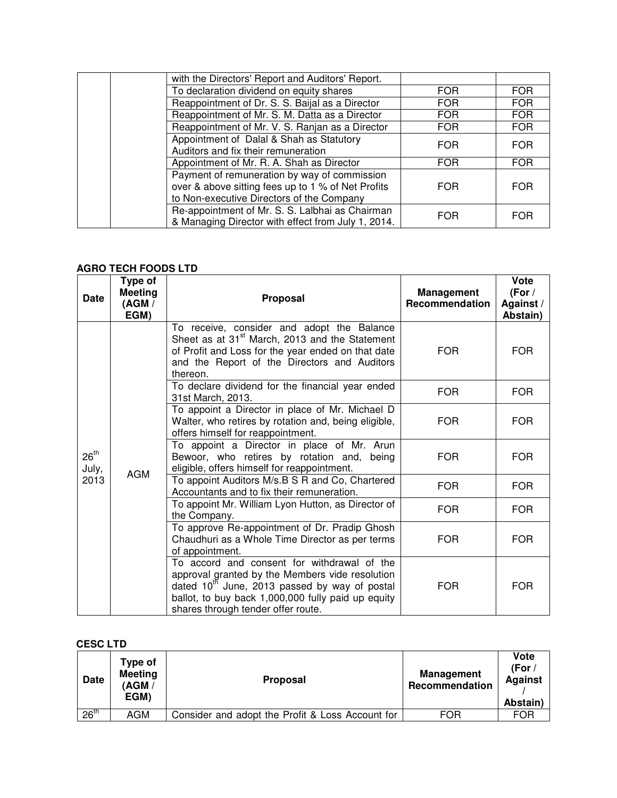| with the Directors' Report and Auditors' Report.                                                                                                |            |            |
|-------------------------------------------------------------------------------------------------------------------------------------------------|------------|------------|
| To declaration dividend on equity shares                                                                                                        | <b>FOR</b> | <b>FOR</b> |
| Reappointment of Dr. S. S. Baijal as a Director                                                                                                 | <b>FOR</b> | <b>FOR</b> |
| Reappointment of Mr. S. M. Datta as a Director                                                                                                  | <b>FOR</b> | <b>FOR</b> |
| Reappointment of Mr. V. S. Ranjan as a Director                                                                                                 | <b>FOR</b> | <b>FOR</b> |
| Appointment of Dalal & Shah as Statutory                                                                                                        | <b>FOR</b> | <b>FOR</b> |
| Auditors and fix their remuneration                                                                                                             |            |            |
| Appointment of Mr. R. A. Shah as Director                                                                                                       | <b>FOR</b> | <b>FOR</b> |
| Payment of remuneration by way of commission<br>over & above sitting fees up to 1 % of Net Profits<br>to Non-executive Directors of the Company | <b>FOR</b> | <b>FOR</b> |
| Re-appointment of Mr. S. S. Lalbhai as Chairman<br>& Managing Director with effect from July 1, 2014.                                           | <b>FOR</b> | <b>FOR</b> |

## **AGRO TECH FOODS LTD**

| <b>Date</b>        | Type of<br><b>Meeting</b><br>(AGM /<br>EGM)                                                                                                                                                                                                                                                                                                                                                                                                                                                                                                                                                                                                                                                                                                                                                                                                                   | Proposal                                                                                                                                                                                                                   | <b>Management</b><br>Recommendation | <b>Vote</b><br>(For $/$<br>Against/<br>Abstain) |
|--------------------|---------------------------------------------------------------------------------------------------------------------------------------------------------------------------------------------------------------------------------------------------------------------------------------------------------------------------------------------------------------------------------------------------------------------------------------------------------------------------------------------------------------------------------------------------------------------------------------------------------------------------------------------------------------------------------------------------------------------------------------------------------------------------------------------------------------------------------------------------------------|----------------------------------------------------------------------------------------------------------------------------------------------------------------------------------------------------------------------------|-------------------------------------|-------------------------------------------------|
|                    |                                                                                                                                                                                                                                                                                                                                                                                                                                                                                                                                                                                                                                                                                                                                                                                                                                                               | To receive, consider and adopt the Balance<br>Sheet as at 31 <sup>st</sup> March, 2013 and the Statement<br>of Profit and Loss for the year ended on that date<br>and the Report of the Directors and Auditors<br>thereon. | <b>FOR</b>                          | <b>FOR</b>                                      |
|                    |                                                                                                                                                                                                                                                                                                                                                                                                                                                                                                                                                                                                                                                                                                                                                                                                                                                               | To declare dividend for the financial year ended<br>31st March, 2013.                                                                                                                                                      | <b>FOR</b>                          | <b>FOR</b>                                      |
|                    | To appoint a Director in place of Mr. Michael D<br>Walter, who retires by rotation and, being eligible,<br>offers himself for reappointment.<br>To appoint a Director in place of Mr. Arun<br>Bewoor, who retires by rotation and, being<br>eligible, offers himself for reappointment.<br><b>AGM</b><br>To appoint Auditors M/s.B S R and Co, Chartered<br>Accountants and to fix their remuneration.<br>To appoint Mr. William Lyon Hutton, as Director of<br>the Company.<br>To approve Re-appointment of Dr. Pradip Ghosh<br>Chaudhuri as a Whole Time Director as per terms<br>of appointment.<br>To accord and consent for withdrawal of the<br>approval granted by the Members vide resolution<br>dated $10^{\text{m}}$ June, 2013 passed by way of postal<br>ballot, to buy back 1,000,000 fully paid up equity<br>shares through tender offer route. | <b>FOR</b>                                                                                                                                                                                                                 | <b>FOR</b>                          |                                                 |
| $26^{th}$<br>July, |                                                                                                                                                                                                                                                                                                                                                                                                                                                                                                                                                                                                                                                                                                                                                                                                                                                               |                                                                                                                                                                                                                            | <b>FOR</b>                          | <b>FOR</b>                                      |
| 2013               |                                                                                                                                                                                                                                                                                                                                                                                                                                                                                                                                                                                                                                                                                                                                                                                                                                                               |                                                                                                                                                                                                                            | <b>FOR</b>                          | FOR.                                            |
|                    |                                                                                                                                                                                                                                                                                                                                                                                                                                                                                                                                                                                                                                                                                                                                                                                                                                                               |                                                                                                                                                                                                                            | <b>FOR</b>                          | <b>FOR</b>                                      |
|                    |                                                                                                                                                                                                                                                                                                                                                                                                                                                                                                                                                                                                                                                                                                                                                                                                                                                               | <b>FOR</b>                                                                                                                                                                                                                 | <b>FOR</b>                          |                                                 |
|                    |                                                                                                                                                                                                                                                                                                                                                                                                                                                                                                                                                                                                                                                                                                                                                                                                                                                               |                                                                                                                                                                                                                            | <b>FOR</b>                          | <b>FOR</b>                                      |

## **CESC LTD**

| Date             | Type of<br><b>Meeting</b><br>(AGM /<br>EGM) | <b>Proposal</b>                                  | <b>Management</b><br>Recommendation | Vote<br>(For /<br><b>Against</b><br>Abstain) |
|------------------|---------------------------------------------|--------------------------------------------------|-------------------------------------|----------------------------------------------|
| 26 <sup>th</sup> | AGM                                         | Consider and adopt the Profit & Loss Account for | FOR                                 | <b>FOR</b>                                   |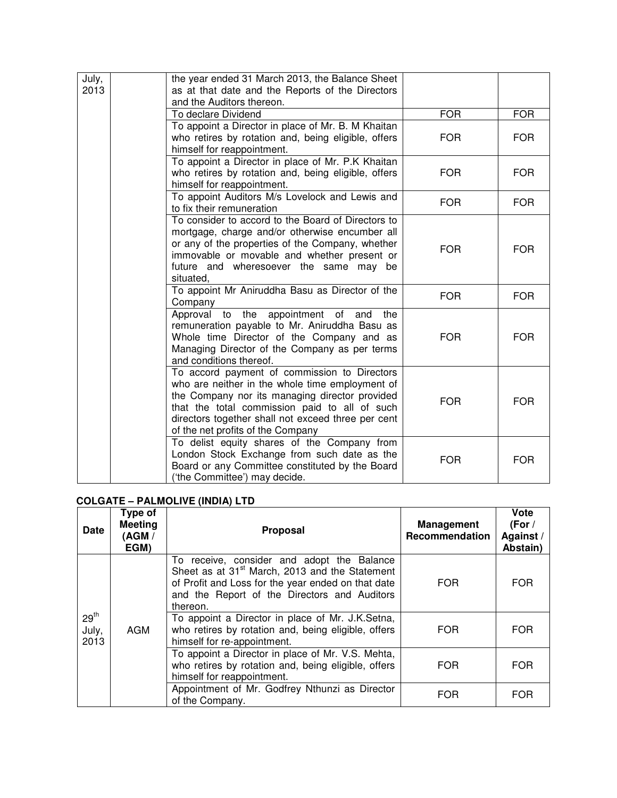| July,<br>2013 | the year ended 31 March 2013, the Balance Sheet<br>as at that date and the Reports of the Directors<br>and the Auditors thereon.                                                                                                                                                              |            |            |
|---------------|-----------------------------------------------------------------------------------------------------------------------------------------------------------------------------------------------------------------------------------------------------------------------------------------------|------------|------------|
|               | To declare Dividend                                                                                                                                                                                                                                                                           | <b>FOR</b> | <b>FOR</b> |
|               | To appoint a Director in place of Mr. B. M Khaitan<br>who retires by rotation and, being eligible, offers<br>himself for reappointment.                                                                                                                                                       | <b>FOR</b> | <b>FOR</b> |
|               | To appoint a Director in place of Mr. P.K Khaitan<br>who retires by rotation and, being eligible, offers<br>himself for reappointment.                                                                                                                                                        | <b>FOR</b> | FOR.       |
|               | To appoint Auditors M/s Lovelock and Lewis and<br>to fix their remuneration                                                                                                                                                                                                                   | <b>FOR</b> | <b>FOR</b> |
|               | To consider to accord to the Board of Directors to<br>mortgage, charge and/or otherwise encumber all<br>or any of the properties of the Company, whether<br>immovable or movable and whether present or<br>future and wheresoever the same may be<br>situated,                                | <b>FOR</b> | <b>FOR</b> |
|               | To appoint Mr Aniruddha Basu as Director of the<br>Company                                                                                                                                                                                                                                    | <b>FOR</b> | <b>FOR</b> |
|               | Approval to the appointment of and<br>the<br>remuneration payable to Mr. Aniruddha Basu as<br>Whole time Director of the Company and as<br>Managing Director of the Company as per terms<br>and conditions thereof.                                                                           | <b>FOR</b> | <b>FOR</b> |
|               | To accord payment of commission to Directors<br>who are neither in the whole time employment of<br>the Company nor its managing director provided<br>that the total commission paid to all of such<br>directors together shall not exceed three per cent<br>of the net profits of the Company | <b>FOR</b> | <b>FOR</b> |
|               | To delist equity shares of the Company from<br>London Stock Exchange from such date as the<br>Board or any Committee constituted by the Board<br>('the Committee') may decide.                                                                                                                | <b>FOR</b> | <b>FOR</b> |

## **COLGATE – PALMOLIVE (INDIA) LTD**

| Date                              | Type of<br><b>Meeting</b><br>(AGM /<br>EGM) | <b>Proposal</b>                                                                                                                                                                                                            | <b>Management</b><br>Recommendation | Vote<br>(For /<br>Against/<br>Abstain) |
|-----------------------------------|---------------------------------------------|----------------------------------------------------------------------------------------------------------------------------------------------------------------------------------------------------------------------------|-------------------------------------|----------------------------------------|
| 29 <sup>th</sup><br>July,<br>2013 |                                             | To receive, consider and adopt the Balance<br>Sheet as at 31 <sup>st</sup> March, 2013 and the Statement<br>of Profit and Loss for the year ended on that date<br>and the Report of the Directors and Auditors<br>thereon. | <b>FOR</b>                          | <b>FOR</b>                             |
|                                   | AGM                                         | To appoint a Director in place of Mr. J.K.Setna,<br>who retires by rotation and, being eligible, offers<br>himself for re-appointment.                                                                                     | <b>FOR</b>                          | <b>FOR</b>                             |
|                                   |                                             | To appoint a Director in place of Mr. V.S. Mehta,<br>who retires by rotation and, being eligible, offers<br>himself for reappointment.                                                                                     | <b>FOR</b>                          | <b>FOR</b>                             |
|                                   |                                             | Appointment of Mr. Godfrey Nthunzi as Director<br>of the Company.                                                                                                                                                          | <b>FOR</b>                          | <b>FOR</b>                             |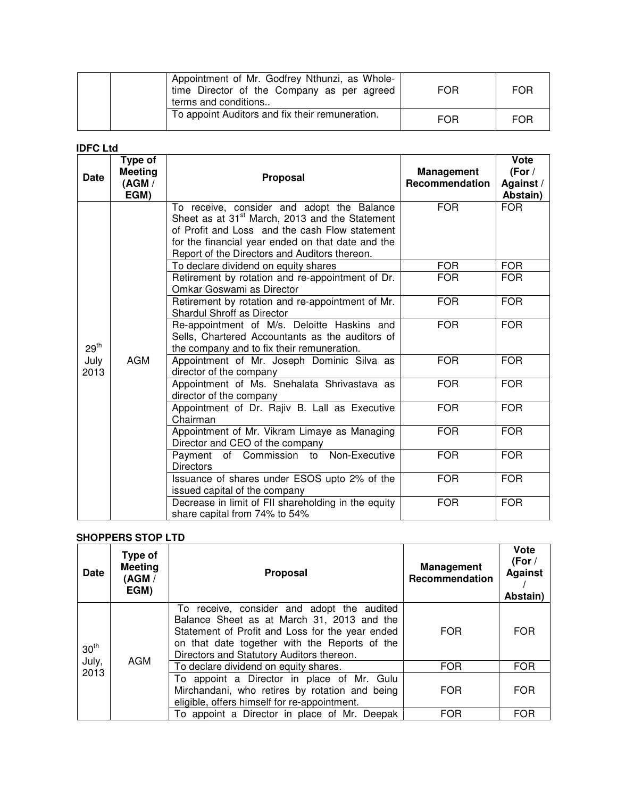| Appointment of Mr. Godfrey Nthunzi, as Whole-<br>time Director of the Company as per agreed<br>terms and conditions | <b>FOR</b> | <b>FOR</b> |
|---------------------------------------------------------------------------------------------------------------------|------------|------------|
| To appoint Auditors and fix their remuneration.                                                                     | FOR        | <b>FOR</b> |

### **IDFC Ltd**

| <b>Date</b>      | Type of<br><b>Meeting</b><br>(AGM /<br>EGM) | <b>Proposal</b>                                                                                                                                                                                                                                                  | <b>Management</b><br>Recommendation | Vote<br>(For /<br>Against /<br>Abstain) |
|------------------|---------------------------------------------|------------------------------------------------------------------------------------------------------------------------------------------------------------------------------------------------------------------------------------------------------------------|-------------------------------------|-----------------------------------------|
|                  |                                             | To receive, consider and adopt the Balance<br>Sheet as at 31 <sup>st</sup> March, 2013 and the Statement<br>of Profit and Loss and the cash Flow statement<br>for the financial year ended on that date and the<br>Report of the Directors and Auditors thereon. | <b>FOR</b>                          | <b>FOR</b>                              |
|                  |                                             | To declare dividend on equity shares                                                                                                                                                                                                                             | <b>FOR</b>                          | <b>FOR</b>                              |
|                  | <b>AGM</b>                                  | Retirement by rotation and re-appointment of Dr.<br>Omkar Goswami as Director                                                                                                                                                                                    | <b>FOR</b>                          | <b>FOR</b>                              |
|                  |                                             | Retirement by rotation and re-appointment of Mr.<br><b>Shardul Shroff as Director</b>                                                                                                                                                                            | <b>FOR</b>                          | <b>FOR</b>                              |
| 29 <sup>th</sup> |                                             | Re-appointment of M/s. Deloitte Haskins and<br>Sells, Chartered Accountants as the auditors of<br>the company and to fix their remuneration.                                                                                                                     | <b>FOR</b>                          | <b>FOR</b>                              |
| July<br>2013     |                                             | Appointment of Mr. Joseph Dominic Silva as<br>director of the company                                                                                                                                                                                            | <b>FOR</b>                          | <b>FOR</b>                              |
|                  |                                             | Appointment of Ms. Snehalata Shrivastava as<br>director of the company                                                                                                                                                                                           | <b>FOR</b>                          | <b>FOR</b>                              |
|                  |                                             | Appointment of Dr. Rajiv B. Lall as Executive<br>Chairman                                                                                                                                                                                                        | <b>FOR</b>                          | <b>FOR</b>                              |
|                  |                                             | Appointment of Mr. Vikram Limaye as Managing<br>Director and CEO of the company                                                                                                                                                                                  | <b>FOR</b>                          | <b>FOR</b>                              |
|                  |                                             | Payment of Commission to Non-Executive<br><b>Directors</b>                                                                                                                                                                                                       | <b>FOR</b>                          | <b>FOR</b>                              |
|                  |                                             | Issuance of shares under ESOS upto 2% of the<br>issued capital of the company                                                                                                                                                                                    | <b>FOR</b>                          | <b>FOR</b>                              |
|                  |                                             | Decrease in limit of FII shareholding in the equity<br>share capital from 74% to 54%                                                                                                                                                                             | <b>FOR</b>                          | <b>FOR</b>                              |

# **SHOPPERS STOP LTD**

| <b>Date</b>                       | Type of<br><b>Meeting</b><br>(AGM /<br>EGM) | <b>Proposal</b>                                                                                                                                                                                                                           | <b>Management</b><br>Recommendation | Vote<br>(For /<br><b>Against</b><br>Abstain) |
|-----------------------------------|---------------------------------------------|-------------------------------------------------------------------------------------------------------------------------------------------------------------------------------------------------------------------------------------------|-------------------------------------|----------------------------------------------|
| 30 <sup>th</sup><br>July,<br>2013 | AGM                                         | To receive, consider and adopt the audited<br>Balance Sheet as at March 31, 2013 and the<br>Statement of Profit and Loss for the year ended<br>on that date together with the Reports of the<br>Directors and Statutory Auditors thereon. | <b>FOR</b>                          | <b>FOR</b>                                   |
|                                   |                                             | To declare dividend on equity shares.                                                                                                                                                                                                     | <b>FOR</b>                          | FOR.                                         |
|                                   |                                             | To appoint a Director in place of Mr. Gulu<br>Mirchandani, who retires by rotation and being<br>eligible, offers himself for re-appointment.                                                                                              | <b>FOR</b>                          | <b>FOR</b>                                   |
|                                   |                                             | To appoint a Director in place of Mr. Deepak                                                                                                                                                                                              | <b>FOR</b>                          | <b>FOR</b>                                   |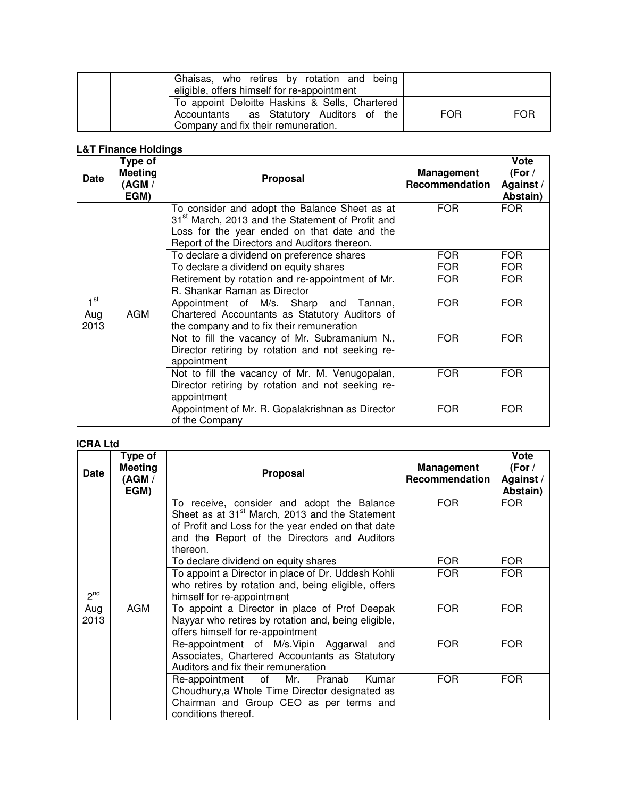| Ghaisas, who retires by rotation and being<br>eligible, offers himself for re-appointment                                         |            |            |
|-----------------------------------------------------------------------------------------------------------------------------------|------------|------------|
| To appoint Deloitte Haskins & Sells, Chartered<br>Accountants as Statutory Auditors of the<br>Company and fix their remuneration. | <b>FOR</b> | <b>FOR</b> |

## **L&T Finance Holdings**

| Date                           | Type of<br><b>Meeting</b><br>(AGM /<br>EGM) | Proposal                                                                                                                                                                                                       | <b>Management</b><br>Recommendation | Vote<br>(For /<br>Against/<br>Abstain) |
|--------------------------------|---------------------------------------------|----------------------------------------------------------------------------------------------------------------------------------------------------------------------------------------------------------------|-------------------------------------|----------------------------------------|
|                                |                                             | To consider and adopt the Balance Sheet as at<br>31 <sup>st</sup> March, 2013 and the Statement of Profit and<br>Loss for the year ended on that date and the<br>Report of the Directors and Auditors thereon. | <b>FOR</b>                          | FOR.                                   |
|                                |                                             | To declare a dividend on preference shares                                                                                                                                                                     | <b>FOR</b>                          | <b>FOR</b>                             |
|                                |                                             | To declare a dividend on equity shares                                                                                                                                                                         | <b>FOR</b>                          | <b>FOR</b>                             |
|                                |                                             | Retirement by rotation and re-appointment of Mr.<br>R. Shankar Raman as Director                                                                                                                               | <b>FOR</b>                          | <b>FOR</b>                             |
| 1 <sup>st</sup><br>Aug<br>2013 | <b>AGM</b>                                  | Appointment of M/s. Sharp and Tannan,<br>Chartered Accountants as Statutory Auditors of<br>the company and to fix their remuneration                                                                           | <b>FOR</b>                          | <b>FOR</b>                             |
|                                |                                             | Not to fill the vacancy of Mr. Subramanium N.,<br>Director retiring by rotation and not seeking re-<br>appointment                                                                                             | <b>FOR</b>                          | <b>FOR</b>                             |
|                                |                                             | Not to fill the vacancy of Mr. M. Venugopalan,<br>Director retiring by rotation and not seeking re-<br>appointment                                                                                             | <b>FOR</b>                          | <b>FOR</b>                             |
|                                |                                             | Appointment of Mr. R. Gopalakrishnan as Director<br>of the Company                                                                                                                                             | <b>FOR</b>                          | <b>FOR</b>                             |

## **ICRA Ltd**

| <b>Date</b>     | Type of<br><b>Meeting</b><br>(AGM /<br>EGM) | <b>Proposal</b>                                                                                                                                                                                                            | <b>Management</b><br>Recommendation | Vote<br>(For /<br>Against/<br>Abstain) |
|-----------------|---------------------------------------------|----------------------------------------------------------------------------------------------------------------------------------------------------------------------------------------------------------------------------|-------------------------------------|----------------------------------------|
|                 |                                             | To receive, consider and adopt the Balance<br>Sheet as at 31 <sup>st</sup> March, 2013 and the Statement<br>of Profit and Loss for the year ended on that date<br>and the Report of the Directors and Auditors<br>thereon. | <b>FOR</b>                          | <b>FOR</b>                             |
|                 |                                             | To declare dividend on equity shares                                                                                                                                                                                       | <b>FOR</b>                          | <b>FOR</b>                             |
| 2 <sup>nd</sup> |                                             | To appoint a Director in place of Dr. Uddesh Kohli<br>who retires by rotation and, being eligible, offers<br>himself for re-appointment                                                                                    | <b>FOR</b>                          | <b>FOR</b>                             |
| Aug<br>2013     | AGM                                         | To appoint a Director in place of Prof Deepak<br>Nayyar who retires by rotation and, being eligible,<br>offers himself for re-appointment                                                                                  | <b>FOR</b>                          | <b>FOR</b>                             |
|                 |                                             | Re-appointment of M/s.Vipin Aggarwal and<br>Associates, Chartered Accountants as Statutory<br>Auditors and fix their remuneration                                                                                          | <b>FOR</b>                          | <b>FOR</b>                             |
|                 |                                             | Re-appointment<br>of<br>Mr.<br>Pranab<br>Kumar<br>Choudhury, a Whole Time Director designated as<br>Chairman and Group CEO as per terms and<br>conditions thereof.                                                         | <b>FOR</b>                          | <b>FOR</b>                             |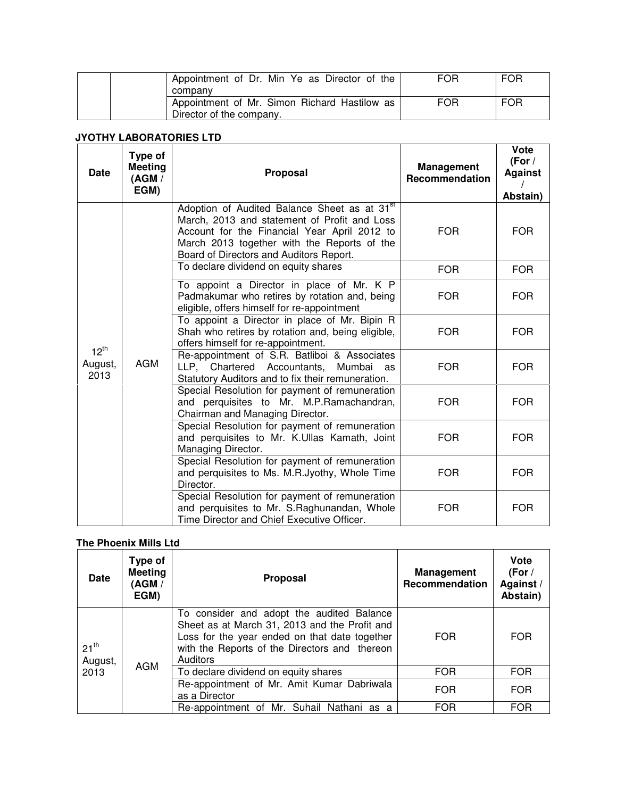| Appointment of Dr. Min Ye as Director of the                             | <b>FOR</b> | <b>FOR</b> |
|--------------------------------------------------------------------------|------------|------------|
| company                                                                  |            |            |
| Appointment of Mr. Simon Richard Hastilow as<br>Director of the company. | <b>FOR</b> | <b>FOR</b> |

### **JYOTHY LABORATORIES LTD**

| <b>Date</b>                  | <b>Type of</b><br><b>Meeting</b><br>(AGM /<br>EGM) | <b>Proposal</b>                                                                                                                                                                                                                                    | <b>Management</b><br>Recommendation | Vote<br>(For /<br><b>Against</b><br>Abstain) |
|------------------------------|----------------------------------------------------|----------------------------------------------------------------------------------------------------------------------------------------------------------------------------------------------------------------------------------------------------|-------------------------------------|----------------------------------------------|
|                              |                                                    | Adoption of Audited Balance Sheet as at 31 <sup>st</sup><br>March, 2013 and statement of Profit and Loss<br>Account for the Financial Year April 2012 to<br>March 2013 together with the Reports of the<br>Board of Directors and Auditors Report. | <b>FOR</b>                          | <b>FOR</b>                                   |
|                              |                                                    | To declare dividend on equity shares                                                                                                                                                                                                               | <b>FOR</b>                          | <b>FOR</b>                                   |
| $12^{th}$<br>August,<br>2013 | <b>AGM</b>                                         | To appoint a Director in place of Mr. K P<br>Padmakumar who retires by rotation and, being<br>eligible, offers himself for re-appointment                                                                                                          | <b>FOR</b>                          | <b>FOR</b>                                   |
|                              |                                                    | To appoint a Director in place of Mr. Bipin R<br>Shah who retires by rotation and, being eligible,<br>offers himself for re-appointment.                                                                                                           | <b>FOR</b>                          | <b>FOR</b>                                   |
|                              |                                                    | Re-appointment of S.R. Batliboi & Associates<br>LLP, Chartered Accountants, Mumbai as<br>Statutory Auditors and to fix their remuneration.                                                                                                         | <b>FOR</b>                          | <b>FOR</b>                                   |
|                              |                                                    | Special Resolution for payment of remuneration<br>and perquisites to Mr. M.P.Ramachandran,<br>Chairman and Managing Director.                                                                                                                      | <b>FOR</b>                          | <b>FOR</b>                                   |
|                              |                                                    | Special Resolution for payment of remuneration<br>and perquisites to Mr. K.Ullas Kamath, Joint<br>Managing Director.                                                                                                                               | <b>FOR</b>                          | FOR.                                         |
|                              |                                                    | Special Resolution for payment of remuneration<br>and perquisites to Ms. M.R.Jyothy, Whole Time<br>Director.                                                                                                                                       | <b>FOR</b>                          | <b>FOR</b>                                   |
|                              |                                                    | Special Resolution for payment of remuneration<br>and perquisites to Mr. S.Raghunandan, Whole<br>Time Director and Chief Executive Officer.                                                                                                        | <b>FOR</b>                          | <b>FOR</b>                                   |

# **The Phoenix Mills Ltd**

| <b>Date</b>                  | <b>Type of</b><br><b>Meeting</b><br>(AGM /<br>EGM) | <b>Proposal</b>                                                                                                                                                                                          | <b>Management</b><br>Recommendation | Vote<br>(For $/$<br>Against /<br>Abstain) |
|------------------------------|----------------------------------------------------|----------------------------------------------------------------------------------------------------------------------------------------------------------------------------------------------------------|-------------------------------------|-------------------------------------------|
| $21^{th}$<br>August,<br>2013 | <b>AGM</b>                                         | To consider and adopt the audited Balance<br>Sheet as at March 31, 2013 and the Profit and<br>Loss for the year ended on that date together<br>with the Reports of the Directors and thereon<br>Auditors | <b>FOR</b>                          | <b>FOR</b>                                |
|                              |                                                    | To declare dividend on equity shares                                                                                                                                                                     | <b>FOR</b>                          | <b>FOR</b>                                |
|                              |                                                    | Re-appointment of Mr. Amit Kumar Dabriwala<br>as a Director                                                                                                                                              | <b>FOR</b>                          | <b>FOR</b>                                |
|                              |                                                    | Re-appointment of Mr. Suhail Nathani as a                                                                                                                                                                | <b>FOR</b>                          | <b>FOR</b>                                |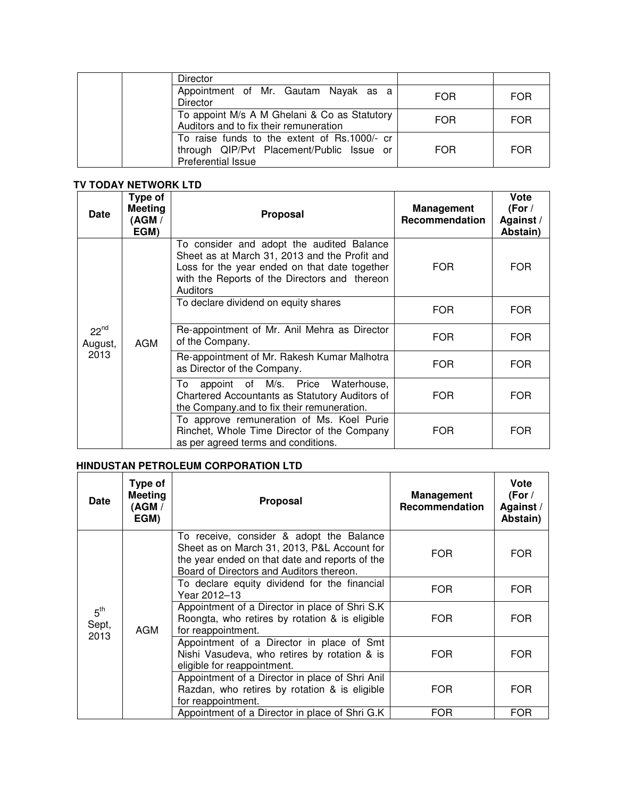| <b>Director</b>                                                                                                 |     |            |
|-----------------------------------------------------------------------------------------------------------------|-----|------------|
| Appointment of Mr. Gautam Nayak as a<br><b>Director</b>                                                         | FOR | <b>FOR</b> |
| To appoint M/s A M Ghelani & Co as Statutory<br>Auditors and to fix their remuneration                          | FOR | <b>FOR</b> |
| To raise funds to the extent of Rs.1000/- cr<br>through QIP/Pvt Placement/Public Issue or<br>Preferential Issue | FOR | <b>FOR</b> |

# **TV TODAY NETWORK LTD**

| <b>Date</b>                  | Type of<br><b>Meeting</b><br>AGM /<br>EGM) | <b>Proposal</b>                                                                                                                                                                                          | <b>Management</b><br>Recommendation | Vote<br>(For $/$<br>Against/<br>Abstain) |
|------------------------------|--------------------------------------------|----------------------------------------------------------------------------------------------------------------------------------------------------------------------------------------------------------|-------------------------------------|------------------------------------------|
| $22^{nd}$<br>August,<br>2013 | <b>AGM</b>                                 | To consider and adopt the audited Balance<br>Sheet as at March 31, 2013 and the Profit and<br>Loss for the year ended on that date together<br>with the Reports of the Directors and thereon<br>Auditors | FOR                                 | <b>FOR</b>                               |
|                              |                                            | To declare dividend on equity shares                                                                                                                                                                     | FOR.                                | <b>FOR</b>                               |
|                              |                                            | Re-appointment of Mr. Anil Mehra as Director<br>of the Company.                                                                                                                                          | FOR.                                | <b>FOR</b>                               |
|                              |                                            | Re-appointment of Mr. Rakesh Kumar Malhotra<br>as Director of the Company.                                                                                                                               | FOR                                 | <b>FOR</b>                               |
|                              |                                            | To<br>appoint of M/s. Price<br>Waterhouse,<br>Chartered Accountants as Statutory Auditors of<br>the Company and to fix their remuneration.                                                               | FOR                                 | <b>FOR</b>                               |
|                              |                                            | To approve remuneration of Ms. Koel Purie<br>Rinchet, Whole Time Director of the Company<br>as per agreed terms and conditions.                                                                          | FOR                                 | <b>FOR</b>                               |

# **HINDUSTAN PETROLEUM CORPORATION LTD**

| <b>Date</b>                      | Type of<br><b>Meeting</b><br>(AGM /<br>EGM) | Proposal                                                                                                                                                                              | Management<br>Recommendation | Vote<br>(For $/$<br>Against /<br>Abstain) |
|----------------------------------|---------------------------------------------|---------------------------------------------------------------------------------------------------------------------------------------------------------------------------------------|------------------------------|-------------------------------------------|
| 5 <sup>th</sup><br>Sept,<br>2013 | <b>AGM</b>                                  | To receive, consider & adopt the Balance<br>Sheet as on March 31, 2013, P&L Account for<br>the year ended on that date and reports of the<br>Board of Directors and Auditors thereon. | <b>FOR</b>                   | <b>FOR</b>                                |
|                                  |                                             | To declare equity dividend for the financial<br>Year 2012–13                                                                                                                          | <b>FOR</b>                   | <b>FOR</b>                                |
|                                  |                                             | Appointment of a Director in place of Shri S.K<br>Roongta, who retires by rotation & is eligible<br>for reappointment.                                                                | <b>FOR</b>                   | <b>FOR</b>                                |
|                                  |                                             | Appointment of a Director in place of Smt<br>Nishi Vasudeva, who retires by rotation & is<br>eligible for reappointment.                                                              | <b>FOR</b>                   | <b>FOR</b>                                |
|                                  |                                             | Appointment of a Director in place of Shri Anil<br>Razdan, who retires by rotation & is eligible<br>for reappointment.                                                                | <b>FOR</b>                   | <b>FOR</b>                                |
|                                  |                                             | Appointment of a Director in place of Shri G.K                                                                                                                                        | <b>FOR</b>                   | <b>FOR</b>                                |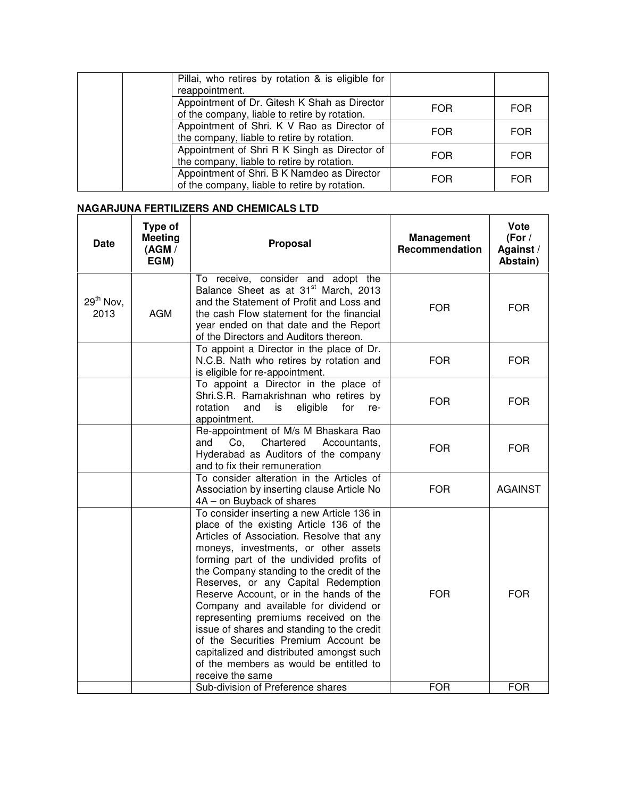| Pillai, who retires by rotation & is eligible for<br>reappointment.                           |            |            |
|-----------------------------------------------------------------------------------------------|------------|------------|
| Appointment of Dr. Gitesh K Shah as Director<br>of the company, liable to retire by rotation. | <b>FOR</b> | <b>FOR</b> |
| Appointment of Shri. K V Rao as Director of<br>the company, liable to retire by rotation.     | <b>FOR</b> | <b>FOR</b> |
| Appointment of Shri R K Singh as Director of<br>the company, liable to retire by rotation.    | <b>FOR</b> | <b>FOR</b> |
| Appointment of Shri. B K Namdeo as Director<br>of the company, liable to retire by rotation.  | <b>FOR</b> | <b>FOR</b> |

## **NAGARJUNA FERTILIZERS AND CHEMICALS LTD**

| <b>Date</b>         | Type of<br><b>Meeting</b><br>(AGM /<br>EGM) | Proposal                                                                                                                                                                                                                                                                                                                                                                                                                                                                                                                                                                                                                                 | <b>Management</b><br>Recommendation | Vote<br>(For /<br>Against /<br>Abstain) |
|---------------------|---------------------------------------------|------------------------------------------------------------------------------------------------------------------------------------------------------------------------------------------------------------------------------------------------------------------------------------------------------------------------------------------------------------------------------------------------------------------------------------------------------------------------------------------------------------------------------------------------------------------------------------------------------------------------------------------|-------------------------------------|-----------------------------------------|
| $29th$ Nov.<br>2013 | <b>AGM</b>                                  | To receive, consider and adopt the<br>Balance Sheet as at 31 <sup>st</sup> March, 2013<br>and the Statement of Profit and Loss and<br>the cash Flow statement for the financial<br>year ended on that date and the Report<br>of the Directors and Auditors thereon.                                                                                                                                                                                                                                                                                                                                                                      | <b>FOR</b>                          | <b>FOR</b>                              |
|                     |                                             | To appoint a Director in the place of Dr.<br>N.C.B. Nath who retires by rotation and<br>is eligible for re-appointment.                                                                                                                                                                                                                                                                                                                                                                                                                                                                                                                  | <b>FOR</b>                          | <b>FOR</b>                              |
|                     |                                             | To appoint a Director in the place of<br>Shri.S.R. Ramakrishnan who retires by<br>rotation<br>and<br>is<br>eligible<br>for<br>re-<br>appointment.                                                                                                                                                                                                                                                                                                                                                                                                                                                                                        | <b>FOR</b>                          | <b>FOR</b>                              |
|                     |                                             | Re-appointment of M/s M Bhaskara Rao<br>and<br>Co,<br>Chartered<br>Accountants,<br>Hyderabad as Auditors of the company<br>and to fix their remuneration                                                                                                                                                                                                                                                                                                                                                                                                                                                                                 | <b>FOR</b>                          | <b>FOR</b>                              |
|                     |                                             | To consider alteration in the Articles of<br>Association by inserting clause Article No<br>4A - on Buyback of shares                                                                                                                                                                                                                                                                                                                                                                                                                                                                                                                     | <b>FOR</b>                          | <b>AGAINST</b>                          |
|                     |                                             | To consider inserting a new Article 136 in<br>place of the existing Article 136 of the<br>Articles of Association. Resolve that any<br>moneys, investments, or other assets<br>forming part of the undivided profits of<br>the Company standing to the credit of the<br>Reserves, or any Capital Redemption<br>Reserve Account, or in the hands of the<br>Company and available for dividend or<br>representing premiums received on the<br>issue of shares and standing to the credit<br>of the Securities Premium Account be<br>capitalized and distributed amongst such<br>of the members as would be entitled to<br>receive the same | <b>FOR</b>                          | <b>FOR</b>                              |
|                     |                                             | Sub-division of Preference shares                                                                                                                                                                                                                                                                                                                                                                                                                                                                                                                                                                                                        | <b>FOR</b>                          | <b>FOR</b>                              |